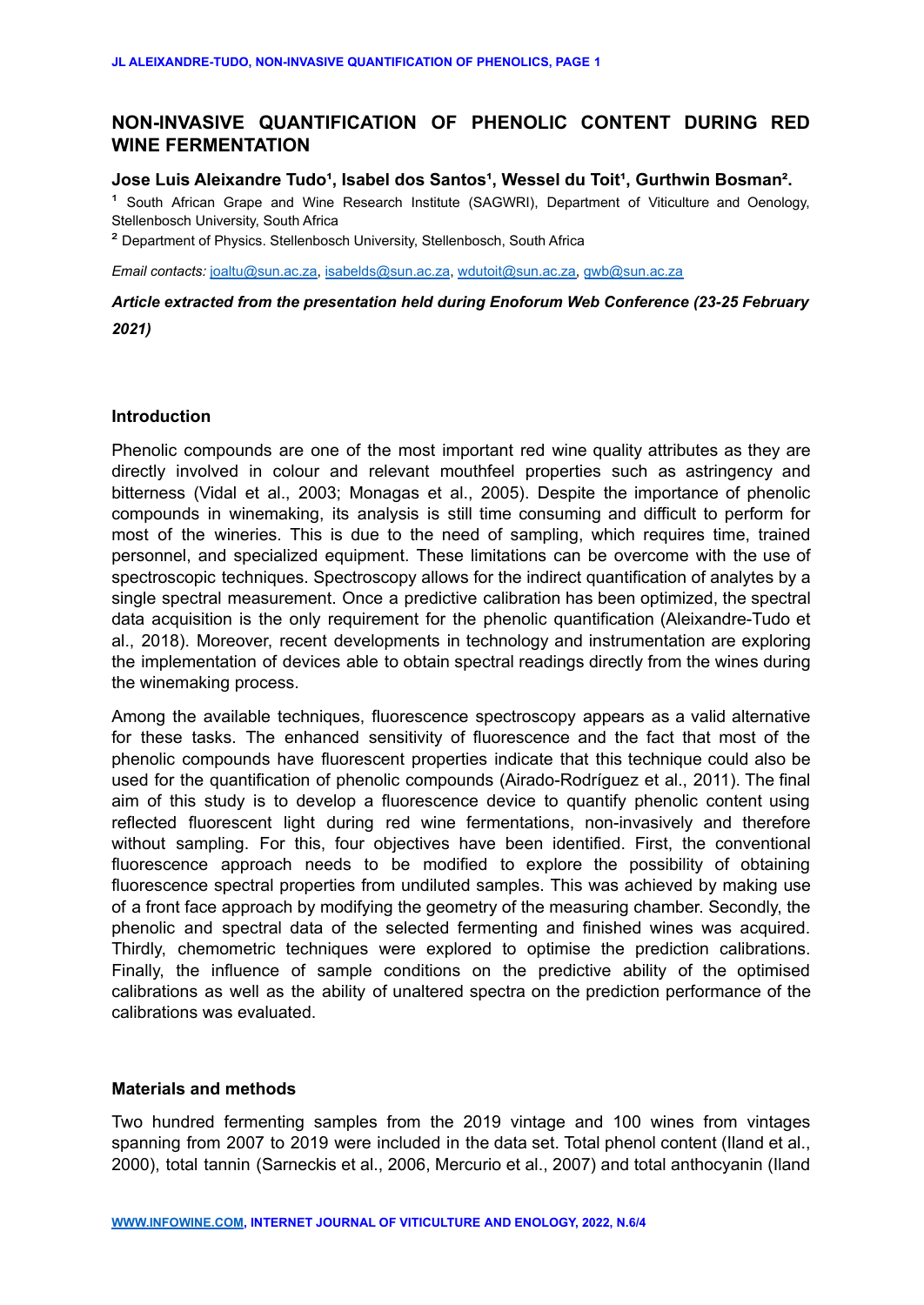# **NON-INVASIVE QUANTIFICATION OF PHENOLIC CONTENT DURING RED WINE FERMENTATION**

# Jose Luis Aleixandre Tudo<sup>1</sup>, Isabel dos Santos<sup>1</sup>, Wessel du Toit<sup>1</sup>, Gurthwin Bosman<sup>2</sup>.

<sup>1</sup> South African Grape and Wine Research Institute (SAGWRI), Department of Viticulture and Oenology, Stellenbosch University, South Africa

² Department of Physics. Stellenbosch University, Stellenbosch, South Africa

*Email contacts:* [joaltu@sun.ac.za,](mailto:joaltu@sun.ac.za) [isabelds@sun.ac.za](mailto:isabelds@sun.ac.za), [wdutoit@sun.ac.za,](mailto:wdutoit@sun.ac.za) [gwb@sun.ac.za](mailto:gwb@sun.ac.za)

# *Article extracted from the presentation held during Enoforum Web Conference (23-25 February 2021)*

#### **Introduction**

Phenolic compounds are one of the most important red wine quality attributes as they are directly involved in colour and relevant mouthfeel properties such as astringency and bitterness (Vidal et al., 2003; Monagas et al., 2005). Despite the importance of phenolic compounds in winemaking, its analysis is still time consuming and difficult to perform for most of the wineries. This is due to the need of sampling, which requires time, trained personnel, and specialized equipment. These limitations can be overcome with the use of spectroscopic techniques. Spectroscopy allows for the indirect quantification of analytes by a single spectral measurement. Once a predictive calibration has been optimized, the spectral data acquisition is the only requirement for the phenolic quantification (Aleixandre-Tudo et al., 2018). Moreover, recent developments in technology and instrumentation are exploring the implementation of devices able to obtain spectral readings directly from the wines during the winemaking process.

Among the available techniques, fluorescence spectroscopy appears as a valid alternative for these tasks. The enhanced sensitivity of fluorescence and the fact that most of the phenolic compounds have fluorescent properties indicate that this technique could also be used for the quantification of phenolic compounds (Airado-Rodríguez et al., 2011). The final aim of this study is to develop a fluorescence device to quantify phenolic content using reflected fluorescent light during red wine fermentations, non-invasively and therefore without sampling. For this, four objectives have been identified. First, the conventional fluorescence approach needs to be modified to explore the possibility of obtaining fluorescence spectral properties from undiluted samples. This was achieved by making use of a front face approach by modifying the geometry of the measuring chamber. Secondly, the phenolic and spectral data of the selected fermenting and finished wines was acquired. Thirdly, chemometric techniques were explored to optimise the prediction calibrations. Finally, the influence of sample conditions on the predictive ability of the optimised calibrations as well as the ability of unaltered spectra on the prediction performance of the calibrations was evaluated.

#### **Materials and methods**

Two hundred fermenting samples from the 2019 vintage and 100 wines from vintages spanning from 2007 to 2019 were included in the data set. Total phenol content (Iland et al., 2000), total tannin (Sarneckis et al., 2006, Mercurio et al., 2007) and total anthocyanin (Iland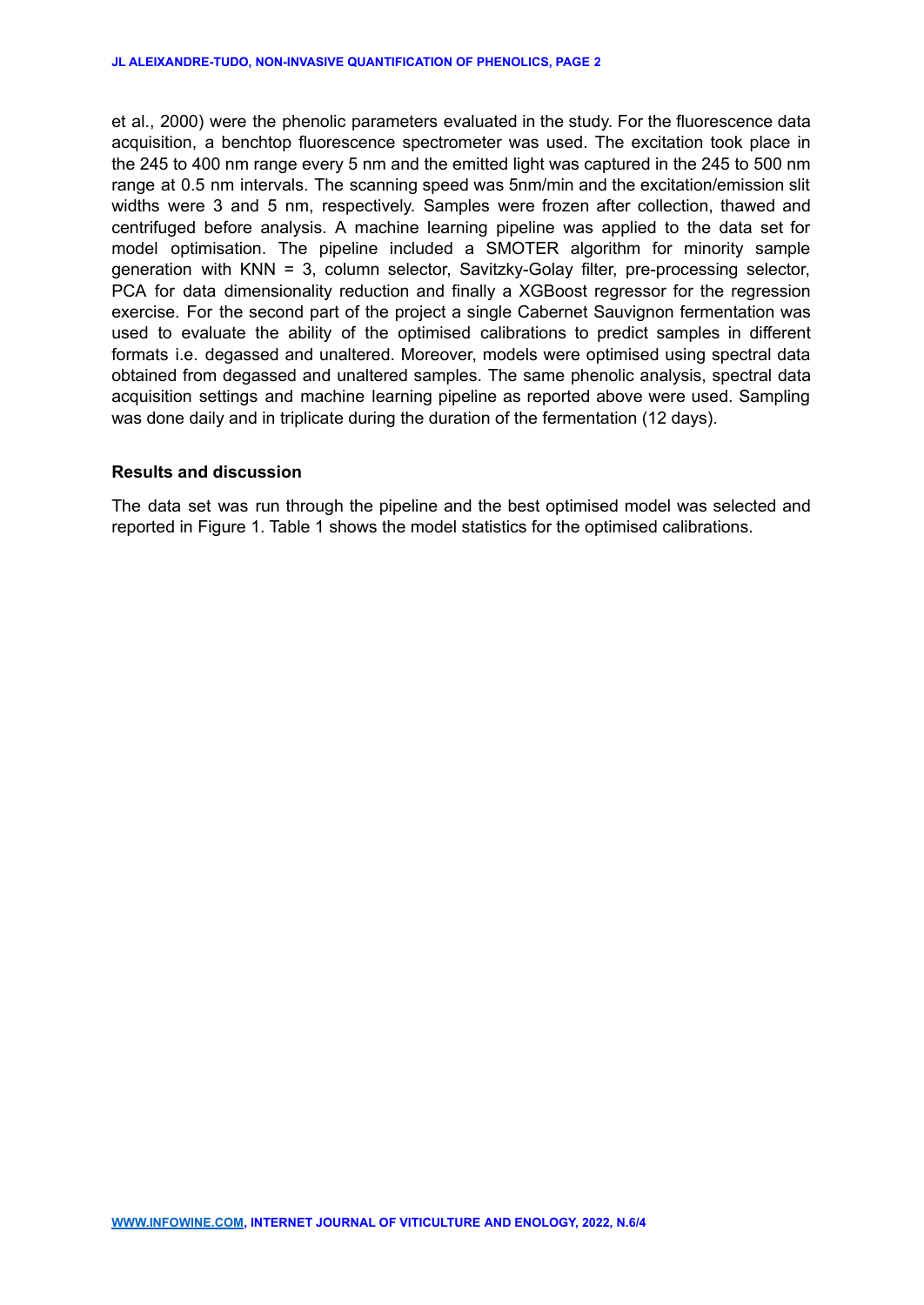et al., 2000) were the phenolic parameters evaluated in the study. For the fluorescence data acquisition, a benchtop fluorescence spectrometer was used. The excitation took place in the 245 to 400 nm range every 5 nm and the emitted light was captured in the 245 to 500 nm range at 0.5 nm intervals. The scanning speed was 5nm/min and the excitation/emission slit widths were 3 and 5 nm, respectively. Samples were frozen after collection, thawed and centrifuged before analysis. A machine learning pipeline was applied to the data set for model optimisation. The pipeline included a SMOTER algorithm for minority sample generation with KNN = 3, column selector, Savitzky-Golay filter, pre-processing selector, PCA for data dimensionality reduction and finally a XGBoost regressor for the regression exercise. For the second part of the project a single Cabernet Sauvignon fermentation was used to evaluate the ability of the optimised calibrations to predict samples in different formats i.e. degassed and unaltered. Moreover, models were optimised using spectral data obtained from degassed and unaltered samples. The same phenolic analysis, spectral data acquisition settings and machine learning pipeline as reported above were used. Sampling was done daily and in triplicate during the duration of the fermentation (12 days).

# **Results and discussion**

The data set was run through the pipeline and the best optimised model was selected and reported in Figure 1. Table 1 shows the model statistics for the optimised calibrations.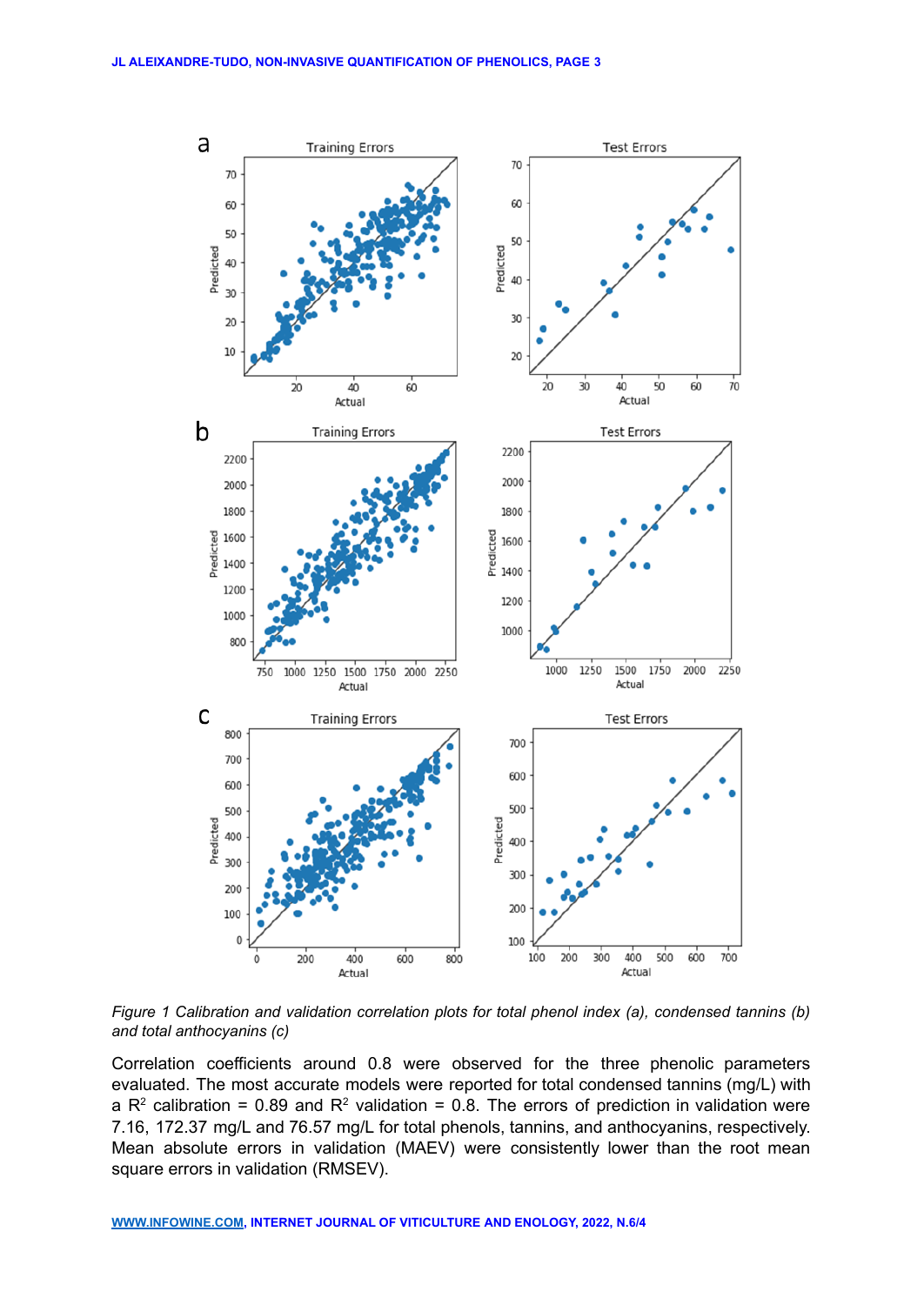

*Figure 1 Calibration and validation correlation plots for total phenol index (a), condensed tannins (b) and total anthocyanins (c)*

Correlation coefficients around 0.8 were observed for the three phenolic parameters evaluated. The most accurate models were reported for total condensed tannins (mg/L) with a R<sup>2</sup> calibration = 0.89 and R<sup>2</sup> validation = 0.8. The errors of prediction in validation were 7.16, 172.37 mg/L and 76.57 mg/L for total phenols, tannins, and anthocyanins, respectively. Mean absolute errors in validation (MAEV) were consistently lower than the root mean square errors in validation (RMSEV).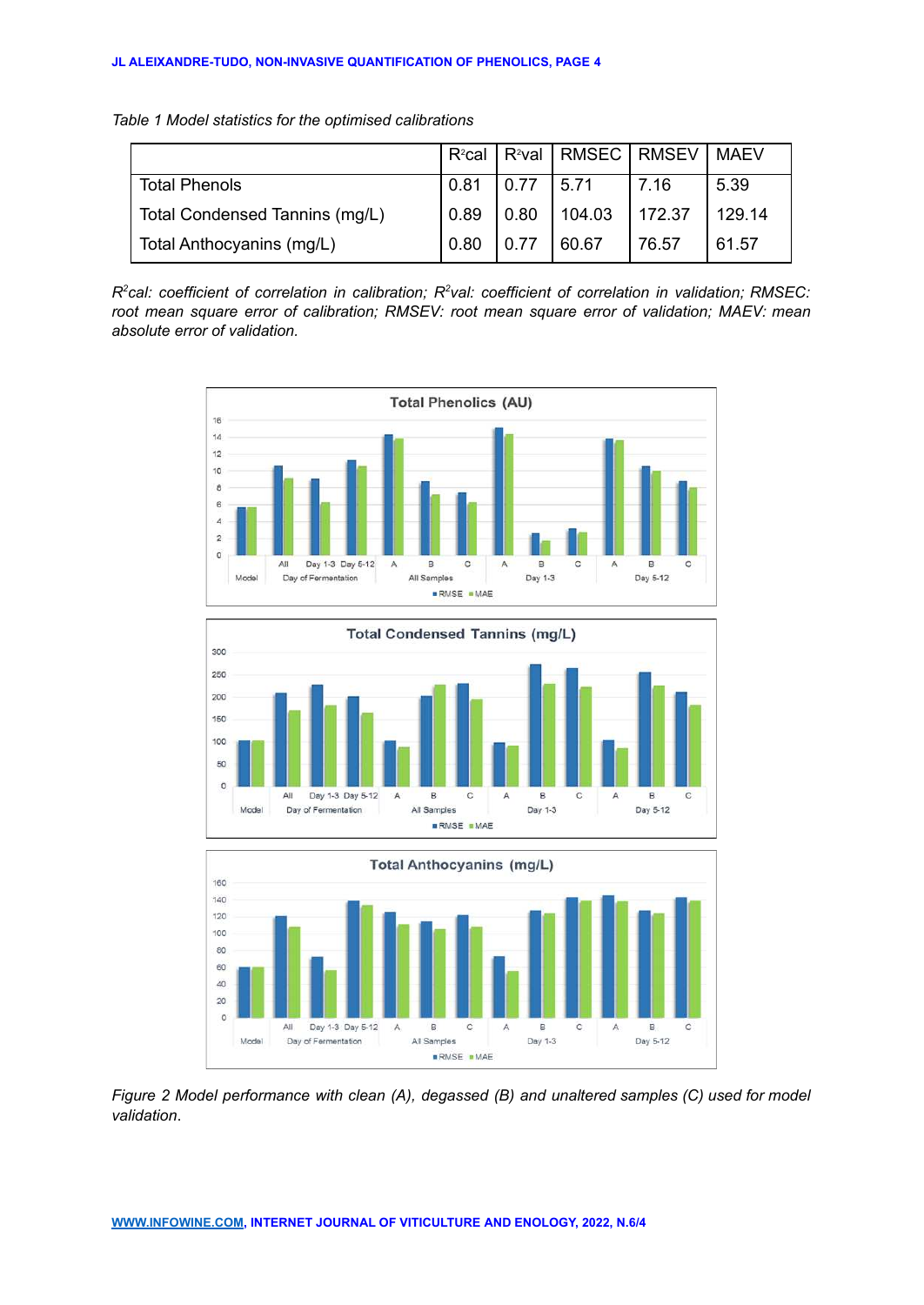*Table 1 Model statistics for the optimised calibrations*

|                                | $R^2$ cal |      | R <sup>2</sup> val   RMSEC   RMSEV   MAEV |        |        |
|--------------------------------|-----------|------|-------------------------------------------|--------|--------|
| <b>Total Phenols</b>           | 0.81      | 0.77 | 5.71                                      | l 7.16 | 5.39   |
| Total Condensed Tannins (mg/L) | 0.89      | 0.80 | 104.03                                    | 172.37 | 129.14 |
| Total Anthocyanins (mg/L)      | 0.80      | 0.77 | 60.67                                     | 76.57  | 61.57  |

*R 2 cal: coefficient of correlation in calibration; R<sup>2</sup> val: coefficient of correlation in validation; RMSEC: root mean square error of calibration; RMSEV: root mean square error of validation; MAEV: mean absolute error of validation.*







*Figure 2 Model performance with clean (A), degassed (B) and unaltered samples (C) used for model validation*.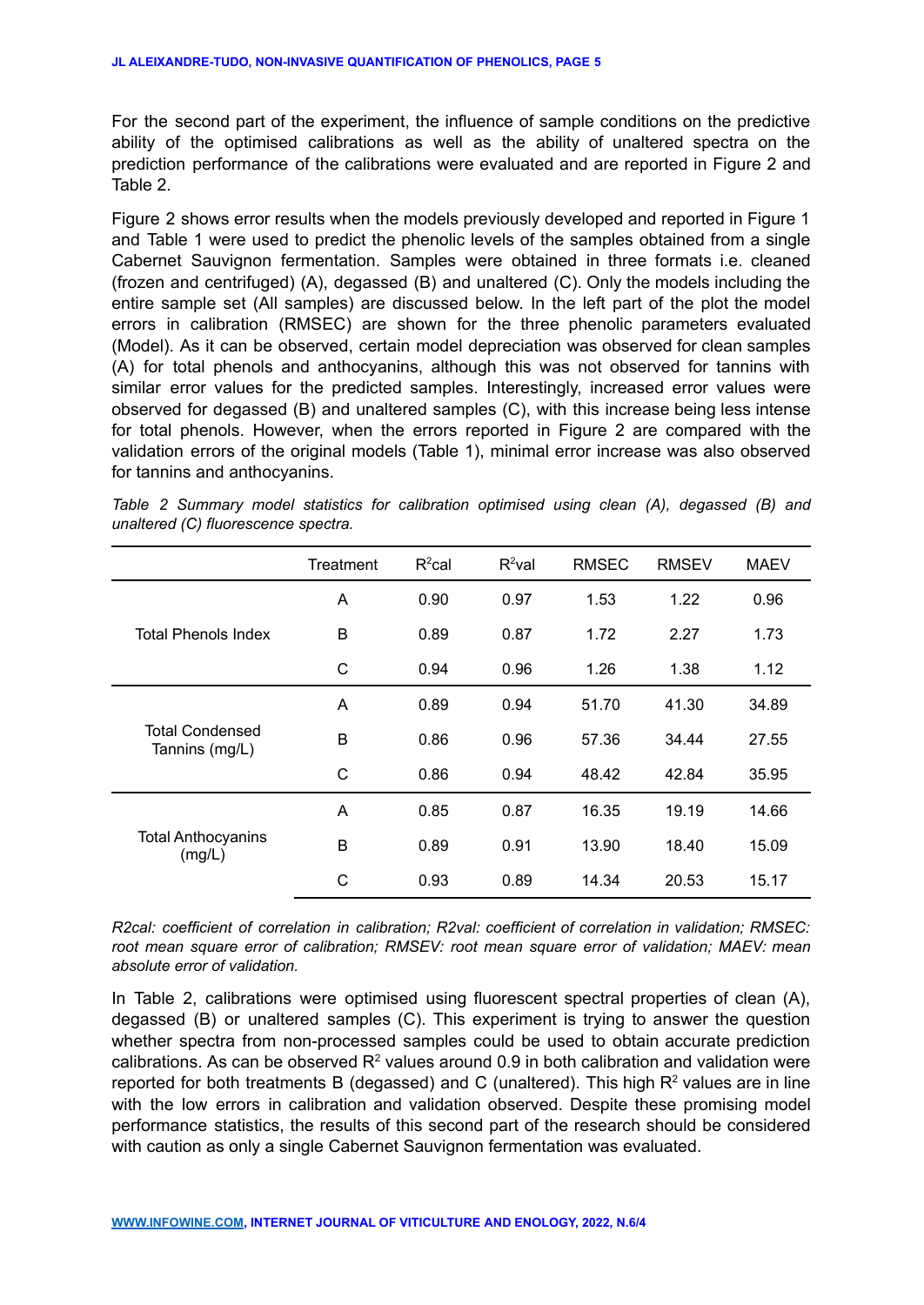For the second part of the experiment, the influence of sample conditions on the predictive ability of the optimised calibrations as well as the ability of unaltered spectra on the prediction performance of the calibrations were evaluated and are reported in Figure 2 and Table 2.

Figure 2 shows error results when the models previously developed and reported in Figure 1 and Table 1 were used to predict the phenolic levels of the samples obtained from a single Cabernet Sauvignon fermentation. Samples were obtained in three formats i.e. cleaned (frozen and centrifuged) (A), degassed (B) and unaltered (C). Only the models including the entire sample set (All samples) are discussed below. In the left part of the plot the model errors in calibration (RMSEC) are shown for the three phenolic parameters evaluated (Model). As it can be observed, certain model depreciation was observed for clean samples (A) for total phenols and anthocyanins, although this was not observed for tannins with similar error values for the predicted samples. Interestingly, increased error values were observed for degassed (B) and unaltered samples (C), with this increase being less intense for total phenols. However, when the errors reported in Figure 2 are compared with the validation errors of the original models (Table 1), minimal error increase was also observed for tannins and anthocyanins.

|                                          | Treatment    | $R^2$ cal | $R^2$ val | <b>RMSEC</b> | <b>RMSEV</b> | <b>MAEV</b> |
|------------------------------------------|--------------|-----------|-----------|--------------|--------------|-------------|
| <b>Total Phenols Index</b>               | A            | 0.90      | 0.97      | 1.53         | 1.22         | 0.96        |
|                                          | B            | 0.89      | 0.87      | 1.72         | 2.27         | 1.73        |
|                                          | $\mathsf{C}$ | 0.94      | 0.96      | 1.26         | 1.38         | 1.12        |
| <b>Total Condensed</b><br>Tannins (mg/L) | A            | 0.89      | 0.94      | 51.70        | 41.30        | 34.89       |
|                                          | B            | 0.86      | 0.96      | 57.36        | 34.44        | 27.55       |
|                                          | C            | 0.86      | 0.94      | 48.42        | 42.84        | 35.95       |
| <b>Total Anthocyanins</b><br>(mg/L)      | A            | 0.85      | 0.87      | 16.35        | 19.19        | 14.66       |
|                                          | B            | 0.89      | 0.91      | 13.90        | 18.40        | 15.09       |
|                                          | C            | 0.93      | 0.89      | 14.34        | 20.53        | 15.17       |

*Table 2 Summary model statistics for calibration optimised using clean (A), degassed (B) and unaltered (C) fluorescence spectra.*

*R2cal: coefficient of correlation in calibration; R2val: coefficient of correlation in validation; RMSEC: root mean square error of calibration; RMSEV: root mean square error of validation; MAEV: mean absolute error of validation.*

In Table 2, calibrations were optimised using fluorescent spectral properties of clean (A), degassed (B) or unaltered samples (C). This experiment is trying to answer the question whether spectra from non-processed samples could be used to obtain accurate prediction calibrations. As can be observed  $R^2$  values around 0.9 in both calibration and validation were reported for both treatments B (degassed) and C (unaltered). This high R<sup>2</sup> values are in line with the low errors in calibration and validation observed. Despite these promising model performance statistics, the results of this second part of the research should be considered with caution as only a single Cabernet Sauvignon fermentation was evaluated.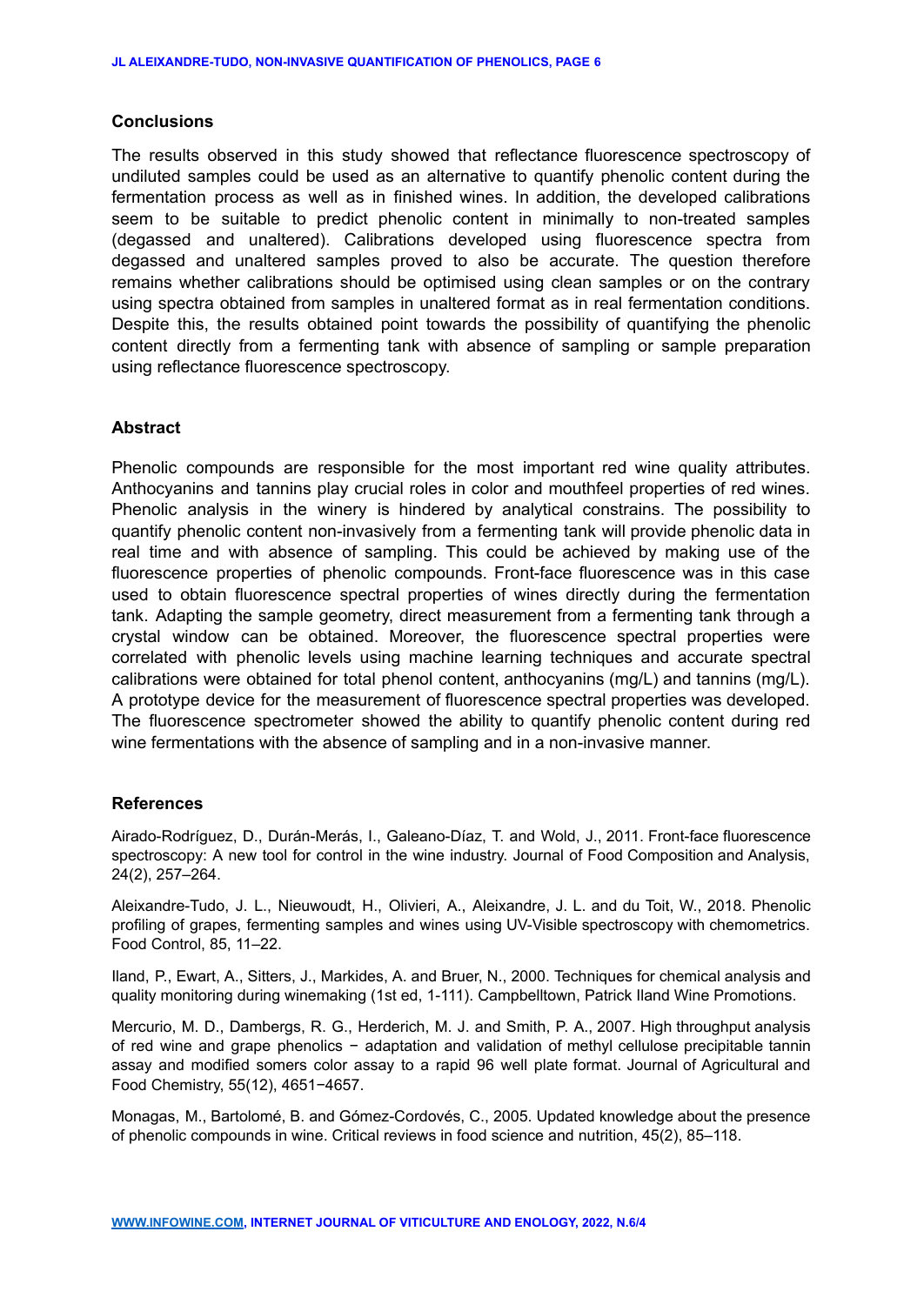### **Conclusions**

The results observed in this study showed that reflectance fluorescence spectroscopy of undiluted samples could be used as an alternative to quantify phenolic content during the fermentation process as well as in finished wines. In addition, the developed calibrations seem to be suitable to predict phenolic content in minimally to non-treated samples (degassed and unaltered). Calibrations developed using fluorescence spectra from degassed and unaltered samples proved to also be accurate. The question therefore remains whether calibrations should be optimised using clean samples or on the contrary using spectra obtained from samples in unaltered format as in real fermentation conditions. Despite this, the results obtained point towards the possibility of quantifying the phenolic content directly from a fermenting tank with absence of sampling or sample preparation using reflectance fluorescence spectroscopy.

## **Abstract**

Phenolic compounds are responsible for the most important red wine quality attributes. Anthocyanins and tannins play crucial roles in color and mouthfeel properties of red wines. Phenolic analysis in the winery is hindered by analytical constrains. The possibility to quantify phenolic content non-invasively from a fermenting tank will provide phenolic data in real time and with absence of sampling. This could be achieved by making use of the fluorescence properties of phenolic compounds. Front-face fluorescence was in this case used to obtain fluorescence spectral properties of wines directly during the fermentation tank. Adapting the sample geometry, direct measurement from a fermenting tank through a crystal window can be obtained. Moreover, the fluorescence spectral properties were correlated with phenolic levels using machine learning techniques and accurate spectral calibrations were obtained for total phenol content, anthocyanins (mg/L) and tannins (mg/L). A prototype device for the measurement of fluorescence spectral properties was developed. The fluorescence spectrometer showed the ability to quantify phenolic content during red wine fermentations with the absence of sampling and in a non-invasive manner.

## **References**

Airado-Rodríguez, D., Durán-Merás, I., Galeano-Díaz, T. and Wold, J., 2011. Front-face fluorescence spectroscopy: A new tool for control in the wine industry. Journal of Food Composition and Analysis, 24(2), 257–264.

Aleixandre-Tudo, J. L., Nieuwoudt, H., Olivieri, A., Aleixandre, J. L. and du Toit, W., 2018. Phenolic profiling of grapes, fermenting samples and wines using UV-Visible spectroscopy with chemometrics. Food Control, 85, 11–22.

Iland, P., Ewart, A., Sitters, J., Markides, A. and Bruer, N., 2000. Techniques for chemical analysis and quality monitoring during winemaking (1st ed, 1-111). Campbelltown, Patrick Iland Wine Promotions.

Mercurio, M. D., Dambergs, R. G., Herderich, M. J. and Smith, P. A., 2007. High throughput analysis of red wine and grape phenolics − adaptation and validation of methyl cellulose precipitable tannin assay and modified somers color assay to a rapid 96 well plate format. Journal of Agricultural and Food Chemistry, 55(12), 4651−4657.

Monagas, M., Bartolomé, B. and Gómez-Cordovés, C., 2005. Updated knowledge about the presence of phenolic compounds in wine. Critical reviews in food science and nutrition, 45(2), 85–118.